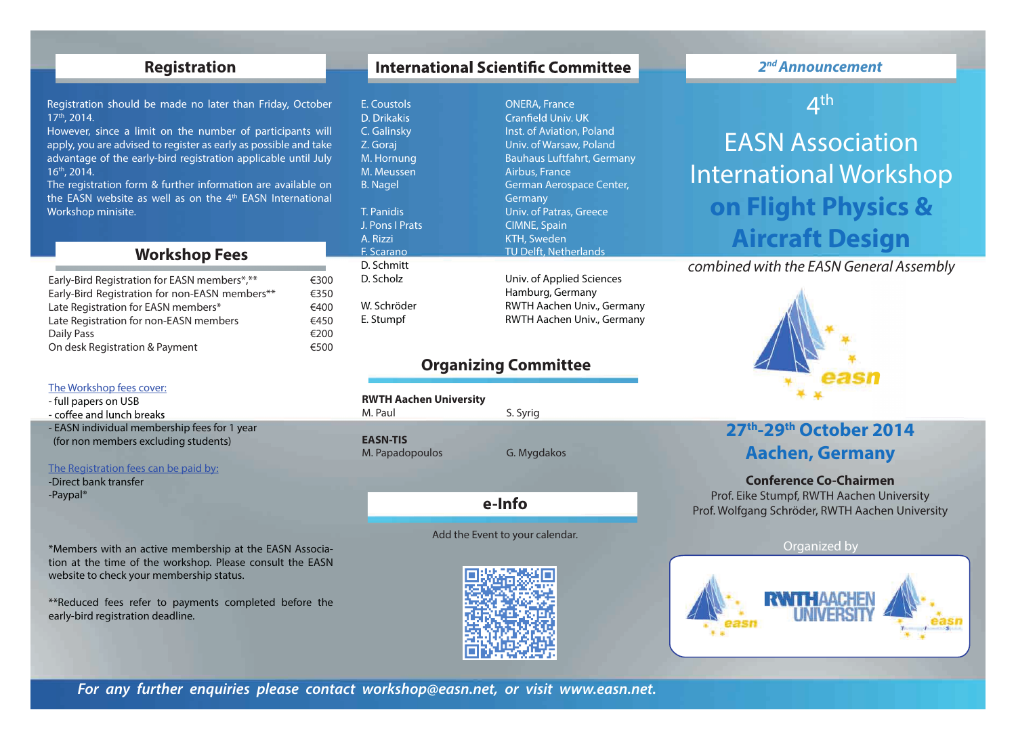# **Registration**

Registration should be made no later than Friday, October 17th, 2014.

However, since a limit on the number of participants will apply, you are advised to register as early as possible and take advantage of the early-bird registration applicable until July 16th, 2014.

The registration form & further information are available on the EASN website as well as on the  $4<sup>th</sup>$  EASN International Workshop minisite.

# **Workshop Fees**

| Early-Bird Registration for EASN members*,**   | €300 |
|------------------------------------------------|------|
| Early-Bird Registration for non-EASN members** | €350 |
| Late Registration for EASN members*            | €400 |
| Late Registration for non-EASN members         | €450 |
| Daily Pass                                     | €200 |
| On desk Registration & Payment                 | €500 |
|                                                |      |

### The Workshop fees cover:

- full papers on USB

- coffee and lunch breaks

- EASN individual membership fees for 1 year (for non members excluding students)

### The Registration fees can be paid by:

-Direct bank transfer -Paypal®

\*Members with an active membership at the EASN Association at the time of the workshop. Please consult the EASN website to check your membership status.

\*\*Reduced fees refer to payments completed before the early-bird registration deadline.

# **International Scientific Committee**

E. Coustols **COUST CONERA, France** Cranfield Univ. UK **C.** Galinsky **Inst. of Aviation, Poland** Z. Goraj Univ. of Warsaw, Poland M. Hornung Bauhaus Luftfahrt, Germany M. Meussen Airbus, France B. Nagel German Aerospace Center, Germany T. Panidis Univ. of Patras, Greece J. Pons I Prats CIMNE, Spain A. Rizzi KTH, Sweden F. Scarano TU Delft, Netherlands D. Scholz Univ. of Applied Sciences Hamburg, Germany W. Schröder **RWTH Aachen Univ., Germany** 

# **Organizing Committee**

E. Stumpf RWTH Aachen Univ., Germany

## **RWTH Aachen University**

M. Paul S. Syrig

**EASN-TIS** M. Papadopoulos G. Mygdakos

D. Schmitt

D. Drikakis

**e-Info**

Add the Event to your calendar.



## *2nd Announcement*

4th

EASN Association International Workshop **on Flight Physics & Aircraft Design**

*combined with the EASN General Assembly*



# **27th-29th October 2014 Aachen, Germany**

## **Conference Co-Chairmen**

Prof. Eike Stumpf, RWTH Aachen University Prof. Wolfgang Schröder, RWTH Aachen University

## Organized by



*For any further enquiries please contact workshop@easn.net, or visit www.easn.net.*